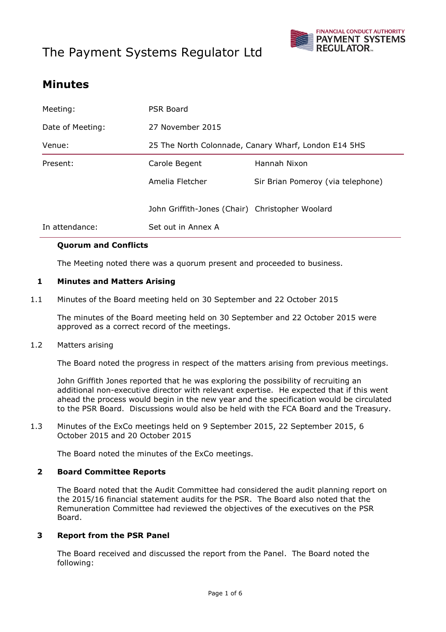# The Payment Systems Regulator Ltd



# **Minutes**

| In attendance:   | Set out in Annex A                                   |                                   |
|------------------|------------------------------------------------------|-----------------------------------|
|                  | John Griffith-Jones (Chair) Christopher Woolard      |                                   |
|                  | Amelia Fletcher                                      | Sir Brian Pomeroy (via telephone) |
| Present:         | Carole Begent                                        | Hannah Nixon                      |
| Venue:           | 25 The North Colonnade, Canary Wharf, London E14 5HS |                                   |
| Date of Meeting: | 27 November 2015                                     |                                   |
| Meeting:         | PSR Board                                            |                                   |

## **Quorum and Conflicts**

The Meeting noted there was a quorum present and proceeded to business.

## **1 Minutes and Matters Arising**

1.1 Minutes of the Board meeting held on 30 September and 22 October 2015

The minutes of the Board meeting held on 30 September and 22 October 2015 were approved as a correct record of the meetings.

#### 1.2 Matters arising

The Board noted the progress in respect of the matters arising from previous meetings.

John Griffith Jones reported that he was exploring the possibility of recruiting an additional non-executive director with relevant expertise. He expected that if this went ahead the process would begin in the new year and the specification would be circulated to the PSR Board. Discussions would also be held with the FCA Board and the Treasury.

1.3 Minutes of the ExCo meetings held on 9 September 2015, 22 September 2015, 6 October 2015 and 20 October 2015

The Board noted the minutes of the ExCo meetings.

#### **2 Board Committee Reports**

The Board noted that the Audit Committee had considered the audit planning report on the 2015/16 financial statement audits for the PSR. The Board also noted that the Remuneration Committee had reviewed the objectives of the executives on the PSR Board.

#### **3 Report from the PSR Panel**

The Board received and discussed the report from the Panel. The Board noted the following: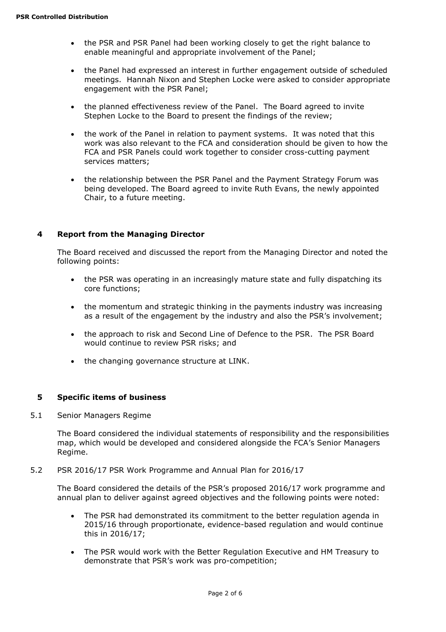- the PSR and PSR Panel had been working closely to get the right balance to enable meaningful and appropriate involvement of the Panel;
- the Panel had expressed an interest in further engagement outside of scheduled meetings. Hannah Nixon and Stephen Locke were asked to consider appropriate engagement with the PSR Panel;
- the planned effectiveness review of the Panel. The Board agreed to invite Stephen Locke to the Board to present the findings of the review;
- the work of the Panel in relation to payment systems. It was noted that this work was also relevant to the FCA and consideration should be given to how the FCA and PSR Panels could work together to consider cross-cutting payment services matters;
- the relationship between the PSR Panel and the Payment Strategy Forum was being developed. The Board agreed to invite Ruth Evans, the newly appointed Chair, to a future meeting.

## **4 Report from the Managing Director**

The Board received and discussed the report from the Managing Director and noted the following points:

- the PSR was operating in an increasingly mature state and fully dispatching its core functions;
- the momentum and strategic thinking in the payments industry was increasing as a result of the engagement by the industry and also the PSR's involvement;
- the approach to risk and Second Line of Defence to the PSR. The PSR Board would continue to review PSR risks; and
- the changing governance structure at LINK.

#### **5 Specific items of business**

5.1 Senior Managers Regime

The Board considered the individual statements of responsibility and the responsibilities map, which would be developed and considered alongside the FCA's Senior Managers Regime.

#### 5.2 PSR 2016/17 PSR Work Programme and Annual Plan for 2016/17

The Board considered the details of the PSR's proposed 2016/17 work programme and annual plan to deliver against agreed objectives and the following points were noted:

- The PSR had demonstrated its commitment to the better regulation agenda in 2015/16 through proportionate, evidence-based regulation and would continue this in 2016/17;
- The PSR would work with the Better Regulation Executive and HM Treasury to demonstrate that PSR's work was pro-competition;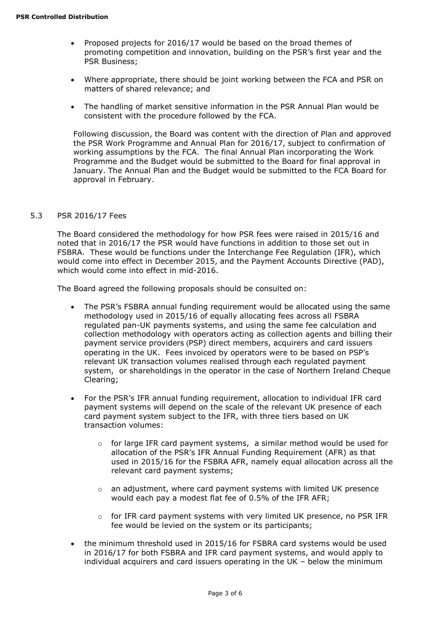- Proposed projects for 2016/17 would be based on the broad themes of promoting competition and innovation, building on the PSR's first year and the PSR Business;
- Where appropriate, there should be joint working between the FCA and PSR on matters of shared relevance; and
- The handling of market sensitive information in the PSR Annual Plan would be consistent with the procedure followed by the FCA.

Following discussion, the Board was content with the direction of Plan and approved the PSR Work Programme and Annual Plan for 2016/17, subject to confirmation of working assumptions by the FCA. The final Annual Plan incorporating the Work Programme and the Budget would be submitted to the Board for final approval in January. The Annual Plan and the Budget would be submitted to the FCA Board for approval in February.

#### 5.3 PSR 2016/17 Fees

The Board considered the methodology for how PSR fees were raised in 2015/16 and noted that in 2016/17 the PSR would have functions in addition to those set out in FSBRA. These would be functions under the Interchange Fee Regulation (IFR), which would come into effect in December 2015, and the Payment Accounts Directive (PAD), which would come into effect in mid-2016.

The Board agreed the following proposals should be consulted on:

- The PSR's FSBRA annual funding requirement would be allocated using the same methodology used in 2015/16 of equally allocating fees across all FSBRA regulated pan-UK payments systems, and using the same fee calculation and collection methodology with operators acting as collection agents and billing their payment service providers (PSP) direct members, acquirers and card issuers operating in the UK. Fees invoiced by operators were to be based on PSP's relevant UK transaction volumes realised through each regulated payment system, or shareholdings in the operator in the case of Northern Ireland Cheque Clearing;
- For the PSR's IFR annual funding requirement, allocation to individual IFR card payment systems will depend on the scale of the relevant UK presence of each card payment system subject to the IFR, with three tiers based on UK transaction volumes:
	- o for large IFR card payment systems, a similar method would be used for allocation of the PSR's IFR Annual Funding Requirement (AFR) as that used in 2015/16 for the FSBRA AFR, namely equal allocation across all the relevant card payment systems;
	- $\circ$  an adjustment, where card payment systems with limited UK presence would each pay a modest flat fee of 0.5% of the IFR AFR;
	- $\circ$  for IFR card payment systems with very limited UK presence, no PSR IFR fee would be levied on the system or its participants;
- the minimum threshold used in 2015/16 for FSBRA card systems would be used in 2016/17 for both FSBRA and IFR card payment systems, and would apply to individual acquirers and card issuers operating in the UK – below the minimum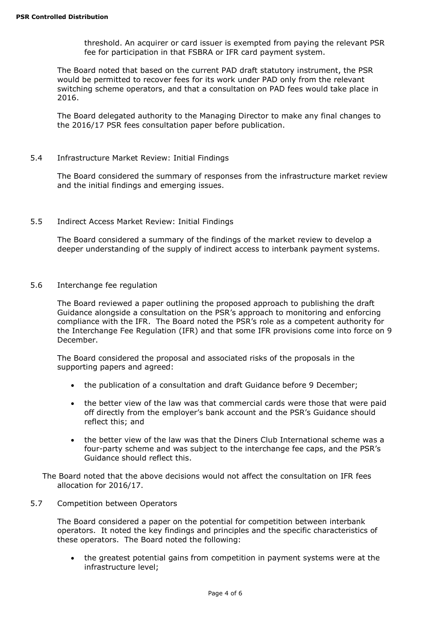threshold. An acquirer or card issuer is exempted from paying the relevant PSR fee for participation in that FSBRA or IFR card payment system.

The Board noted that based on the current PAD draft statutory instrument, the PSR would be permitted to recover fees for its work under PAD only from the relevant switching scheme operators, and that a consultation on PAD fees would take place in 2016.

The Board delegated authority to the Managing Director to make any final changes to the 2016/17 PSR fees consultation paper before publication.

5.4 Infrastructure Market Review: Initial Findings

The Board considered the summary of responses from the infrastructure market review and the initial findings and emerging issues.

5.5 Indirect Access Market Review: Initial Findings

The Board considered a summary of the findings of the market review to develop a deeper understanding of the supply of indirect access to interbank payment systems.

5.6 Interchange fee regulation

The Board reviewed a paper outlining the proposed approach to publishing the draft Guidance alongside a consultation on the PSR's approach to monitoring and enforcing compliance with the IFR. The Board noted the PSR's role as a competent authority for the Interchange Fee Regulation (IFR) and that some IFR provisions come into force on 9 December.

The Board considered the proposal and associated risks of the proposals in the supporting papers and agreed:

- the publication of a consultation and draft Guidance before 9 December;
- the better view of the law was that commercial cards were those that were paid off directly from the employer's bank account and the PSR's Guidance should reflect this; and
- the better view of the law was that the Diners Club International scheme was a four-party scheme and was subject to the interchange fee caps, and the PSR's Guidance should reflect this.

The Board noted that the above decisions would not affect the consultation on IFR fees allocation for 2016/17.

5.7 Competition between Operators

The Board considered a paper on the potential for competition between interbank operators. It noted the key findings and principles and the specific characteristics of these operators. The Board noted the following:

 the greatest potential gains from competition in payment systems were at the infrastructure level;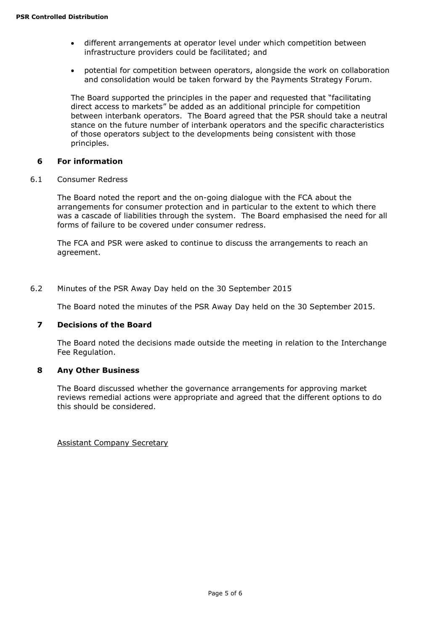- different arrangements at operator level under which competition between infrastructure providers could be facilitated; and
- potential for competition between operators, alongside the work on collaboration and consolidation would be taken forward by the Payments Strategy Forum.

The Board supported the principles in the paper and requested that "facilitating direct access to markets" be added as an additional principle for competition between interbank operators. The Board agreed that the PSR should take a neutral stance on the future number of interbank operators and the specific characteristics of those operators subject to the developments being consistent with those principles.

# **6 For information**

6.1 Consumer Redress

The Board noted the report and the on-going dialogue with the FCA about the arrangements for consumer protection and in particular to the extent to which there was a cascade of liabilities through the system. The Board emphasised the need for all forms of failure to be covered under consumer redress.

The FCA and PSR were asked to continue to discuss the arrangements to reach an agreement.

#### 6.2 Minutes of the PSR Away Day held on the 30 September 2015

The Board noted the minutes of the PSR Away Day held on the 30 September 2015.

#### **7 Decisions of the Board**

The Board noted the decisions made outside the meeting in relation to the Interchange Fee Regulation.

#### **8 Any Other Business**

The Board discussed whether the governance arrangements for approving market reviews remedial actions were appropriate and agreed that the different options to do this should be considered.

Assistant Company Secretary